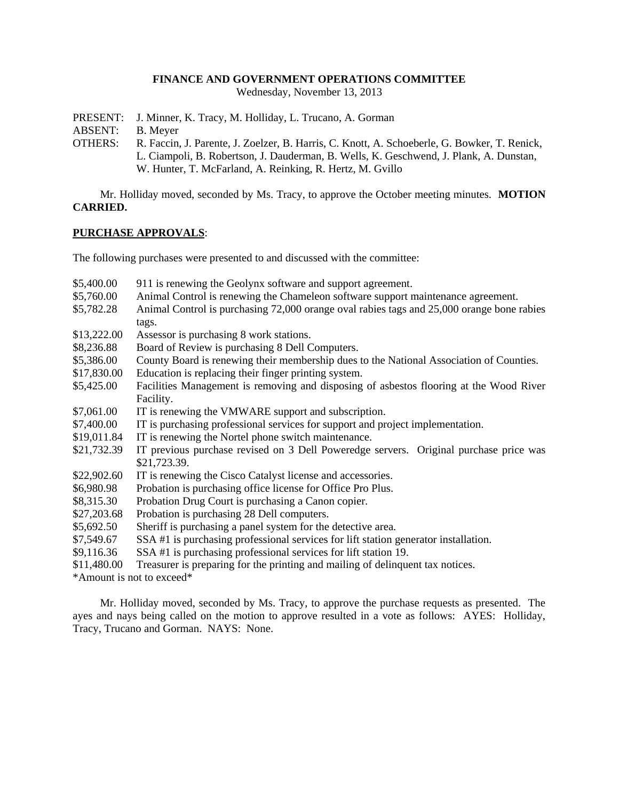### **FINANCE AND GOVERNMENT OPERATIONS COMMITTEE**

Wednesday, November 13, 2013

- PRESENT: J. Minner, K. Tracy, M. Holliday, L. Trucano, A. Gorman
- ABSENT: B. Meyer
- OTHERS: R. Faccin, J. Parente, J. Zoelzer, B. Harris, C. Knott, A. Schoeberle, G. Bowker, T. Renick, L. Ciampoli, B. Robertson, J. Dauderman, B. Wells, K. Geschwend, J. Plank, A. Dunstan, W. Hunter, T. McFarland, A. Reinking, R. Hertz, M. Gvillo

Mr. Holliday moved, seconded by Ms. Tracy, to approve the October meeting minutes. **MOTION CARRIED.**

## **PURCHASE APPROVALS**:

The following purchases were presented to and discussed with the committee:

\$5,400.00 911 is renewing the Geolynx software and support agreement. \$5,760.00 Animal Control is renewing the Chameleon software support maintenance agreement. \$5,782.28 Animal Control is purchasing 72,000 orange oval rabies tags and 25,000 orange bone rabies tags. \$13,222.00 Assessor is purchasing 8 work stations. \$8,236.88 Board of Review is purchasing 8 Dell Computers. \$5,386.00 County Board is renewing their membership dues to the National Association of Counties. \$17,830.00 Education is replacing their finger printing system. \$5,425.00 Facilities Management is removing and disposing of asbestos flooring at the Wood River Facility. \$7,061.00 IT is renewing the VMWARE support and subscription. \$7,400.00 IT is purchasing professional services for support and project implementation. \$19,011.84 IT is renewing the Nortel phone switch maintenance. \$21,732.39 IT previous purchase revised on 3 Dell Poweredge servers. Original purchase price was \$21,723.39. \$22,902.60 IT is renewing the Cisco Catalyst license and accessories. \$6,980.98 Probation is purchasing office license for Office Pro Plus. \$8,315.30 Probation Drug Court is purchasing a Canon copier. \$27,203.68 Probation is purchasing 28 Dell computers. \$5,692.50 Sheriff is purchasing a panel system for the detective area. \$7,549.67 SSA #1 is purchasing professional services for lift station generator installation. \$9,116.36 SSA #1 is purchasing professional services for lift station 19. \$11,480.00 Treasurer is preparing for the printing and mailing of delinquent tax notices.

\*Amount is not to exceed\*

Mr. Holliday moved, seconded by Ms. Tracy, to approve the purchase requests as presented. The ayes and nays being called on the motion to approve resulted in a vote as follows: AYES: Holliday, Tracy, Trucano and Gorman. NAYS: None.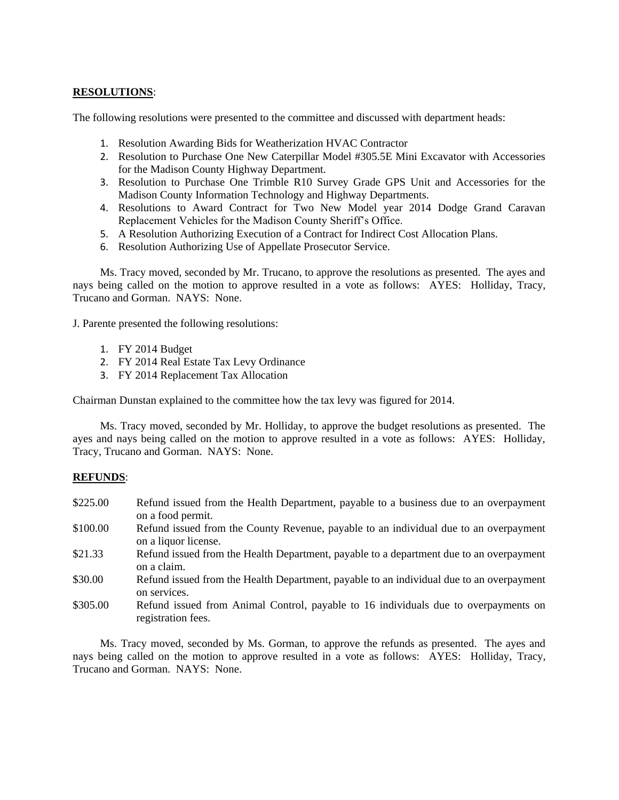# **RESOLUTIONS**:

The following resolutions were presented to the committee and discussed with department heads:

- 1. Resolution Awarding Bids for Weatherization HVAC Contractor
- 2. Resolution to Purchase One New Caterpillar Model #305.5E Mini Excavator with Accessories for the Madison County Highway Department.
- 3. Resolution to Purchase One Trimble R10 Survey Grade GPS Unit and Accessories for the Madison County Information Technology and Highway Departments.
- 4. Resolutions to Award Contract for Two New Model year 2014 Dodge Grand Caravan Replacement Vehicles for the Madison County Sheriff's Office.
- 5. A Resolution Authorizing Execution of a Contract for Indirect Cost Allocation Plans.
- 6. Resolution Authorizing Use of Appellate Prosecutor Service.

Ms. Tracy moved, seconded by Mr. Trucano, to approve the resolutions as presented. The ayes and nays being called on the motion to approve resulted in a vote as follows: AYES: Holliday, Tracy, Trucano and Gorman. NAYS: None.

J. Parente presented the following resolutions:

- 1. FY 2014 Budget
- 2. FY 2014 Real Estate Tax Levy Ordinance
- 3. FY 2014 Replacement Tax Allocation

Chairman Dunstan explained to the committee how the tax levy was figured for 2014.

Ms. Tracy moved, seconded by Mr. Holliday, to approve the budget resolutions as presented. The ayes and nays being called on the motion to approve resulted in a vote as follows: AYES: Holliday, Tracy, Trucano and Gorman. NAYS: None.

#### **REFUNDS**:

- \$225.00 Refund issued from the Health Department, payable to a business due to an overpayment on a food permit.
- \$100.00 Refund issued from the County Revenue, payable to an individual due to an overpayment on a liquor license.
- \$21.33 Refund issued from the Health Department, payable to a department due to an overpayment on a claim.
- \$30.00 Refund issued from the Health Department, payable to an individual due to an overpayment on services.
- \$305.00 Refund issued from Animal Control, payable to 16 individuals due to overpayments on registration fees.

Ms. Tracy moved, seconded by Ms. Gorman, to approve the refunds as presented. The ayes and nays being called on the motion to approve resulted in a vote as follows: AYES: Holliday, Tracy, Trucano and Gorman. NAYS: None.